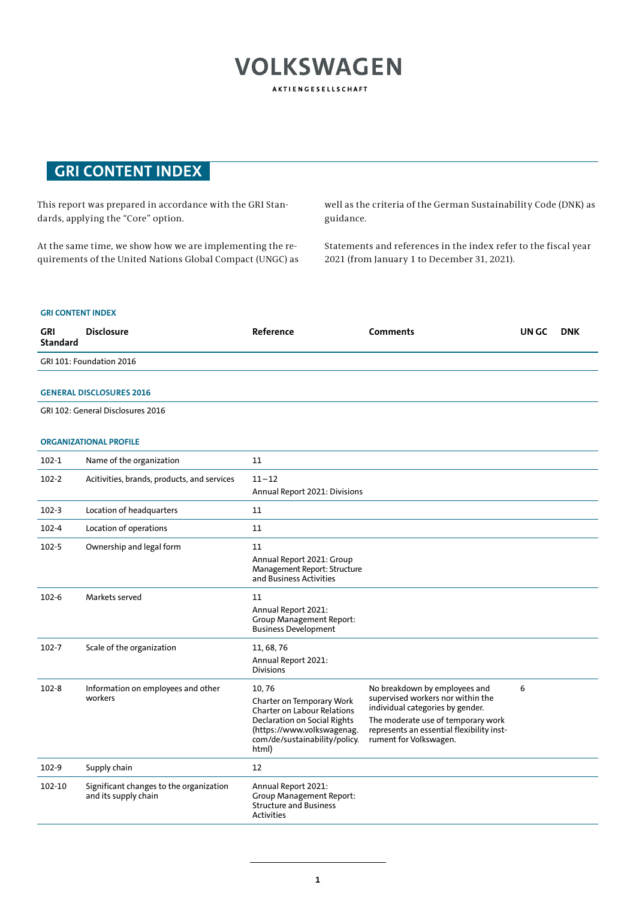# **VOLKSWAGEN** AKTIENGESELLSCHAFT

# **GRI CONTENT INDEX**

This report was prepared in accordance with the GRI Standards, applying the "Core" option.

At the same time, we show how we are implementing the requirements of the United Nations Global Compact (UNGC) as well as the criteria of the German Sustainability Code (DNK) as guidance.

Statements and references in the index refer to the fiscal year 2021 (from January 1 to December 31, 2021).

| <b>GRI</b><br><b>Standard</b>     | <b>Disclosure</b>                                               | Reference                                                                                                                                                               | <b>Comments</b>                                                                                                                                                                                                     | UN GC | <b>DNK</b> |  |  |
|-----------------------------------|-----------------------------------------------------------------|-------------------------------------------------------------------------------------------------------------------------------------------------------------------------|---------------------------------------------------------------------------------------------------------------------------------------------------------------------------------------------------------------------|-------|------------|--|--|
|                                   | GRI 101: Foundation 2016                                        |                                                                                                                                                                         |                                                                                                                                                                                                                     |       |            |  |  |
|                                   | <b>GENERAL DISCLOSURES 2016</b>                                 |                                                                                                                                                                         |                                                                                                                                                                                                                     |       |            |  |  |
| GRI 102: General Disclosures 2016 |                                                                 |                                                                                                                                                                         |                                                                                                                                                                                                                     |       |            |  |  |
|                                   | <b>ORGANIZATIONAL PROFILE</b>                                   |                                                                                                                                                                         |                                                                                                                                                                                                                     |       |            |  |  |
| $102 - 1$                         | Name of the organization                                        | 11                                                                                                                                                                      |                                                                                                                                                                                                                     |       |            |  |  |
| $102 - 2$                         | Acitivities, brands, products, and services                     | $11 - 12$<br>Annual Report 2021: Divisions                                                                                                                              |                                                                                                                                                                                                                     |       |            |  |  |
| 102-3                             | Location of headquarters                                        | 11                                                                                                                                                                      |                                                                                                                                                                                                                     |       |            |  |  |
| 102-4                             | Location of operations                                          | 11                                                                                                                                                                      |                                                                                                                                                                                                                     |       |            |  |  |
| 102-5                             | Ownership and legal form                                        | 11<br>Annual Report 2021: Group<br>Management Report: Structure<br>and Business Activities                                                                              |                                                                                                                                                                                                                     |       |            |  |  |
| $102 - 6$                         | Markets served                                                  | 11<br>Annual Report 2021:<br><b>Group Management Report:</b><br><b>Business Development</b>                                                                             |                                                                                                                                                                                                                     |       |            |  |  |
| 102-7                             | Scale of the organization                                       | 11, 68, 76<br>Annual Report 2021:<br><b>Divisions</b>                                                                                                                   |                                                                                                                                                                                                                     |       |            |  |  |
| $102 - 8$                         | Information on employees and other<br>workers                   | 10,76<br>Charter on Temporary Work<br><b>Charter on Labour Relations</b><br>Declaration on Social Rights<br>(https://www.volkswagenag.<br>com/de/sustainability/policy. | No breakdown by employees and<br>supervised workers nor within the<br>individual categories by gender.<br>The moderate use of temporary work<br>represents an essential flexibility inst-<br>rument for Volkswagen. | 6     |            |  |  |
| 102-9                             |                                                                 | html)<br>12                                                                                                                                                             |                                                                                                                                                                                                                     |       |            |  |  |
|                                   | Supply chain                                                    |                                                                                                                                                                         |                                                                                                                                                                                                                     |       |            |  |  |
| 102-10                            | Significant changes to the organization<br>and its supply chain | Annual Report 2021:<br><b>Group Management Report:</b><br><b>Structure and Business</b><br><b>Activities</b>                                                            |                                                                                                                                                                                                                     |       |            |  |  |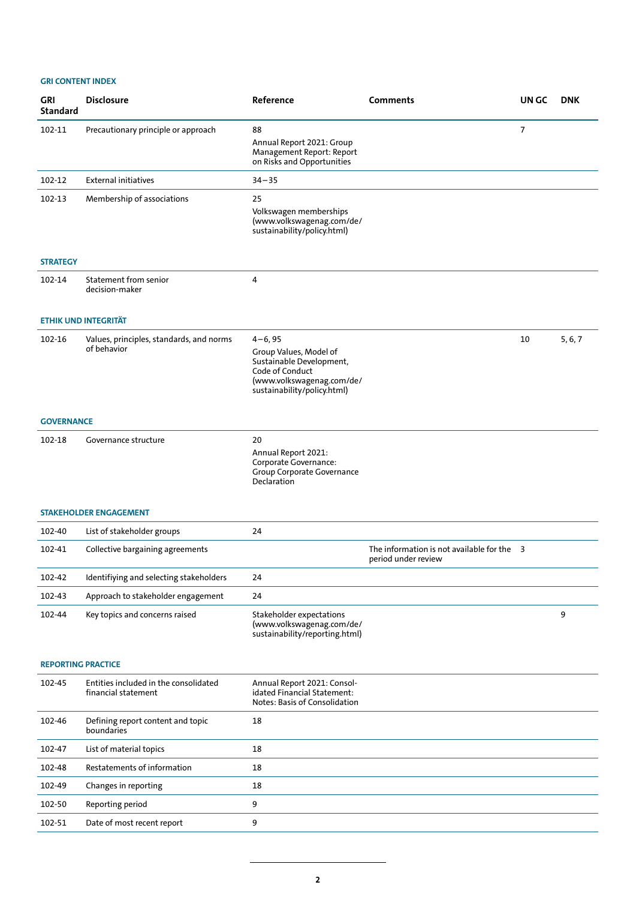| <b>GRI</b><br><b>Standard</b> | <b>Disclosure</b>                                            | Reference                                                                                                                                        | <b>Comments</b>                                                   | UN GC | <b>DNK</b> |
|-------------------------------|--------------------------------------------------------------|--------------------------------------------------------------------------------------------------------------------------------------------------|-------------------------------------------------------------------|-------|------------|
| 102-11                        | Precautionary principle or approach                          | 88<br>Annual Report 2021: Group<br>Management Report: Report<br>on Risks and Opportunities                                                       |                                                                   | 7     |            |
| 102-12                        | <b>External initiatives</b>                                  | $34 - 35$                                                                                                                                        |                                                                   |       |            |
| 102-13                        | Membership of associations                                   | 25<br>Volkswagen memberships<br>(www.volkswagenag.com/de/<br>sustainability/policy.html)                                                         |                                                                   |       |            |
| <b>STRATEGY</b>               |                                                              |                                                                                                                                                  |                                                                   |       |            |
| 102-14                        | Statement from senior<br>decision-maker                      | 4                                                                                                                                                |                                                                   |       |            |
|                               | <b>ETHIK UND INTEGRITÄT</b>                                  |                                                                                                                                                  |                                                                   |       |            |
| 102-16                        | Values, principles, standards, and norms<br>of behavior      | $4 - 6, 95$<br>Group Values, Model of<br>Sustainable Development,<br>Code of Conduct<br>(www.volkswagenag.com/de/<br>sustainability/policy.html) |                                                                   | 10    | 5, 6, 7    |
| <b>GOVERNANCE</b>             |                                                              |                                                                                                                                                  |                                                                   |       |            |
| 102-18                        | Governance structure                                         | 20<br>Annual Report 2021:<br>Corporate Governance:<br>Group Corporate Governance<br>Declaration                                                  |                                                                   |       |            |
|                               | <b>STAKEHOLDER ENGAGEMENT</b>                                |                                                                                                                                                  |                                                                   |       |            |
| 102-40                        | List of stakeholder groups                                   | 24                                                                                                                                               |                                                                   |       |            |
| 102-41                        | Collective bargaining agreements                             |                                                                                                                                                  | The information is not available for the 3<br>period under review |       |            |
| 102-42                        | Identifiying and selecting stakeholders                      | 24                                                                                                                                               |                                                                   |       |            |
| 102-43                        | Approach to stakeholder engagement                           | 24                                                                                                                                               |                                                                   |       |            |
| 102-44                        | Key topics and concerns raised                               | Stakeholder expectations<br>(www.volkswagenag.com/de/<br>sustainability/reporting.html)                                                          |                                                                   |       | 9          |
| <b>REPORTING PRACTICE</b>     |                                                              |                                                                                                                                                  |                                                                   |       |            |
| 102-45                        | Entities included in the consolidated<br>financial statement | Annual Report 2021: Consol-<br>idated Financial Statement:<br>Notes: Basis of Consolidation                                                      |                                                                   |       |            |
| 102-46                        | Defining report content and topic<br>boundaries              | 18                                                                                                                                               |                                                                   |       |            |
| 102-47                        | List of material topics                                      | 18                                                                                                                                               |                                                                   |       |            |
| 102-48                        | Restatements of information                                  | 18                                                                                                                                               |                                                                   |       |            |
| 102-49                        | Changes in reporting                                         | 18                                                                                                                                               |                                                                   |       |            |
| 102-50                        | Reporting period                                             | 9                                                                                                                                                |                                                                   |       |            |
| 102-51                        | Date of most recent report                                   | 9                                                                                                                                                |                                                                   |       |            |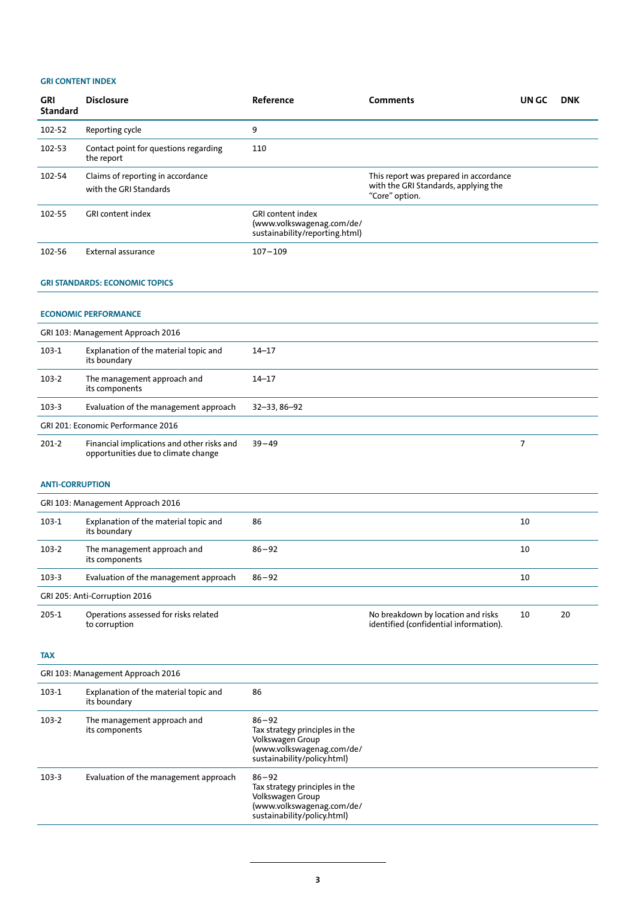| <b>GRI</b><br><b>Standard</b> | <b>Disclosure</b>                                                                 | Reference                                                                               | <b>Comments</b>                                                                                  | UN GC          | <b>DNK</b> |  |  |
|-------------------------------|-----------------------------------------------------------------------------------|-----------------------------------------------------------------------------------------|--------------------------------------------------------------------------------------------------|----------------|------------|--|--|
| 102-52                        | Reporting cycle                                                                   | 9                                                                                       |                                                                                                  |                |            |  |  |
| 102-53                        | Contact point for questions regarding<br>the report                               | 110                                                                                     |                                                                                                  |                |            |  |  |
| 102-54                        | Claims of reporting in accordance<br>with the GRI Standards                       |                                                                                         | This report was prepared in accordance<br>with the GRI Standards, applying the<br>"Core" option. |                |            |  |  |
| 102-55                        | <b>GRI</b> content index                                                          | <b>GRI content index</b><br>(www.volkswagenag.com/de/<br>sustainability/reporting.html) |                                                                                                  |                |            |  |  |
| 102-56                        | External assurance                                                                | $107 - 109$                                                                             |                                                                                                  |                |            |  |  |
|                               | <b>GRI STANDARDS: ECONOMIC TOPICS</b>                                             |                                                                                         |                                                                                                  |                |            |  |  |
|                               | <b>ECONOMIC PERFORMANCE</b>                                                       |                                                                                         |                                                                                                  |                |            |  |  |
|                               | GRI 103: Management Approach 2016                                                 |                                                                                         |                                                                                                  |                |            |  |  |
| $103-1$                       | Explanation of the material topic and<br>its boundary                             | $14 - 17$                                                                               |                                                                                                  |                |            |  |  |
| 103-2                         | The management approach and<br>its components                                     | $14 - 17$                                                                               |                                                                                                  |                |            |  |  |
| 103-3                         | Evaluation of the management approach                                             | 32-33, 86-92                                                                            |                                                                                                  |                |            |  |  |
|                               | GRI 201: Economic Performance 2016                                                |                                                                                         |                                                                                                  |                |            |  |  |
| $201-2$                       | Financial implications and other risks and<br>opportunities due to climate change | $39 - 49$                                                                               |                                                                                                  | $\overline{7}$ |            |  |  |
| <b>ANTI-CORRUPTION</b>        |                                                                                   |                                                                                         |                                                                                                  |                |            |  |  |

|         | GRI 103: Management Approach 2016                      |           |                                                                              |    |    |  |  |
|---------|--------------------------------------------------------|-----------|------------------------------------------------------------------------------|----|----|--|--|
| 103-1   | Explanation of the material topic and<br>its boundary  | 86        |                                                                              | 10 |    |  |  |
| $103-2$ | The management approach and<br>its components          | $86 - 92$ |                                                                              | 10 |    |  |  |
| $103-3$ | Evaluation of the management approach                  | $86 - 92$ |                                                                              | 10 |    |  |  |
|         | GRI 205: Anti-Corruption 2016                          |           |                                                                              |    |    |  |  |
| $205-1$ | Operations assessed for risks related<br>to corruption |           | No breakdown by location and risks<br>identified (confidential information). | 10 | 20 |  |  |

**TAX**

|       | GRI 103: Management Approach 2016                     |                                                                                                                             |  |  |  |
|-------|-------------------------------------------------------|-----------------------------------------------------------------------------------------------------------------------------|--|--|--|
| 103-1 | Explanation of the material topic and<br>its boundary | 86                                                                                                                          |  |  |  |
| 103-2 | The management approach and<br>its components         | $86 - 92$<br>Tax strategy principles in the<br>Volkswagen Group<br>(www.volkswagenag.com/de/<br>sustainability/policy.html) |  |  |  |
| 103-3 | Evaluation of the management approach                 | $86 - 92$<br>Tax strategy principles in the<br>Volkswagen Group<br>(www.volkswagenag.com/de/<br>sustainability/policy.html) |  |  |  |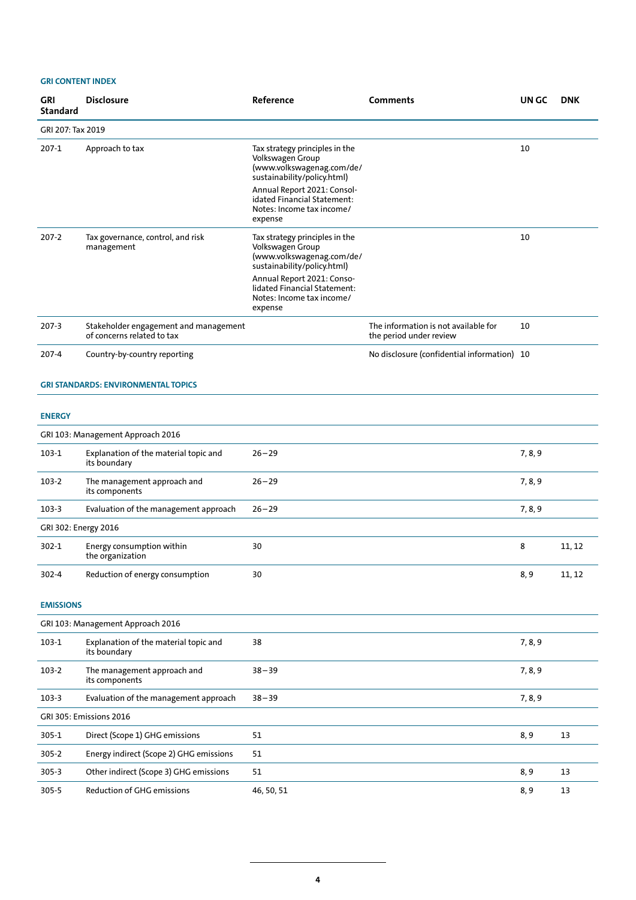|                      | שטח ונושטי                                                          |                                                                                                                                                                                                                      |                                                                 |         |            |  |  |
|----------------------|---------------------------------------------------------------------|----------------------------------------------------------------------------------------------------------------------------------------------------------------------------------------------------------------------|-----------------------------------------------------------------|---------|------------|--|--|
| GRI<br>Standard      | <b>Disclosure</b>                                                   | Reference                                                                                                                                                                                                            | Comments                                                        | UN GC   | <b>DNK</b> |  |  |
| GRI 207: Tax 2019    |                                                                     |                                                                                                                                                                                                                      |                                                                 |         |            |  |  |
| 207-1                | Approach to tax                                                     | Tax strategy principles in the<br>Volkswagen Group<br>(www.volkswagenag.com/de/<br>sustainability/policy.html)                                                                                                       |                                                                 | 10      |            |  |  |
|                      |                                                                     | Annual Report 2021: Consol-<br>idated Financial Statement:<br>Notes: Income tax income/<br>expense                                                                                                                   |                                                                 |         |            |  |  |
| 207-2                | Tax governance, control, and risk<br>management                     | Tax strategy principles in the<br>Volkswagen Group<br>(www.volkswagenag.com/de/<br>sustainability/policy.html)<br>Annual Report 2021: Conso-<br>lidated Financial Statement:<br>Notes: Income tax income/<br>expense |                                                                 | 10      |            |  |  |
| 207-3                | Stakeholder engagement and management<br>of concerns related to tax |                                                                                                                                                                                                                      | The information is not available for<br>the period under review | 10      |            |  |  |
| 207-4                | Country-by-country reporting                                        |                                                                                                                                                                                                                      | No disclosure (confidential information) 10                     |         |            |  |  |
|                      | <b>GRI STANDARDS: ENVIRONMENTAL TOPICS</b>                          |                                                                                                                                                                                                                      |                                                                 |         |            |  |  |
| <b>ENERGY</b>        |                                                                     |                                                                                                                                                                                                                      |                                                                 |         |            |  |  |
|                      | GRI 103: Management Approach 2016                                   |                                                                                                                                                                                                                      |                                                                 |         |            |  |  |
| 103-1                | Explanation of the material topic and<br>its boundary               | $26 - 29$                                                                                                                                                                                                            |                                                                 | 7, 8, 9 |            |  |  |
| 103-2                | The management approach and<br>its components                       | $26 - 29$                                                                                                                                                                                                            |                                                                 | 7, 8, 9 |            |  |  |
| $103-3$              | Evaluation of the management approach                               | $26 - 29$                                                                                                                                                                                                            |                                                                 | 7, 8, 9 |            |  |  |
| GRI 302: Energy 2016 |                                                                     |                                                                                                                                                                                                                      |                                                                 |         |            |  |  |
| 302-1                | Energy consumption within<br>the organization                       | 30                                                                                                                                                                                                                   |                                                                 | 8       | 11, 12     |  |  |
| 302-4                | Reduction of energy consumption                                     | 30                                                                                                                                                                                                                   |                                                                 | 8, 9    | 11, 12     |  |  |
| <b>EMISSIONS</b>     |                                                                     |                                                                                                                                                                                                                      |                                                                 |         |            |  |  |
|                      | GRI 103: Management Approach 2016                                   |                                                                                                                                                                                                                      |                                                                 |         |            |  |  |
| $103-1$              | Explanation of the material topic and<br>its boundary               | 38                                                                                                                                                                                                                   |                                                                 | 7, 8, 9 |            |  |  |
| 103-2                | The management approach and<br>its components                       | $38 - 39$                                                                                                                                                                                                            |                                                                 | 7, 8, 9 |            |  |  |
| 103-3                | Evaluation of the management approach                               | $38 - 39$                                                                                                                                                                                                            |                                                                 | 7, 8, 9 |            |  |  |
|                      | GRI 305: Emissions 2016                                             |                                                                                                                                                                                                                      |                                                                 |         |            |  |  |
| $305 - 1$            | Direct (Scope 1) GHG emissions                                      | 51                                                                                                                                                                                                                   |                                                                 | 8, 9    | 13         |  |  |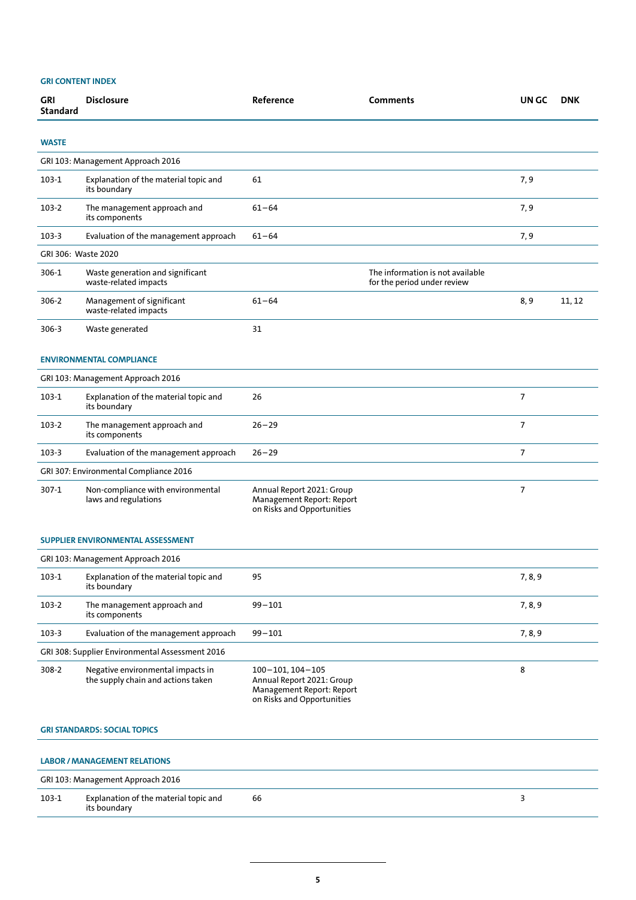| <b>GRI</b><br><b>Standard</b>     | <b>Disclosure</b>                                                       | Reference                                                                                                         | <b>Comments</b>                                                 | UN GC   | <b>DNK</b> |  |
|-----------------------------------|-------------------------------------------------------------------------|-------------------------------------------------------------------------------------------------------------------|-----------------------------------------------------------------|---------|------------|--|
| <b>WASTE</b>                      |                                                                         |                                                                                                                   |                                                                 |         |            |  |
|                                   | GRI 103: Management Approach 2016                                       |                                                                                                                   |                                                                 |         |            |  |
| 103-1                             | Explanation of the material topic and<br>its boundary                   | 61                                                                                                                |                                                                 | 7,9     |            |  |
| 103-2                             | The management approach and<br>its components                           | $61 - 64$                                                                                                         |                                                                 | 7,9     |            |  |
| 103-3                             | Evaluation of the management approach                                   | $61 - 64$                                                                                                         |                                                                 | 7,9     |            |  |
| GRI 306: Waste 2020               |                                                                         |                                                                                                                   |                                                                 |         |            |  |
| 306-1                             | Waste generation and significant<br>waste-related impacts               |                                                                                                                   | The information is not available<br>for the period under review |         |            |  |
| 306-2                             | Management of significant<br>waste-related impacts                      | $61 - 64$                                                                                                         |                                                                 | 8,9     | 11, 12     |  |
| 306-3                             | Waste generated                                                         | 31                                                                                                                |                                                                 |         |            |  |
|                                   | <b>ENVIRONMENTAL COMPLIANCE</b>                                         |                                                                                                                   |                                                                 |         |            |  |
|                                   | GRI 103: Management Approach 2016                                       |                                                                                                                   |                                                                 |         |            |  |
| $103-1$                           | Explanation of the material topic and<br>its boundary                   | 26                                                                                                                |                                                                 | 7       |            |  |
| 103-2                             | The management approach and<br>its components                           | $26 - 29$                                                                                                         |                                                                 | 7       |            |  |
| 103-3                             | Evaluation of the management approach                                   | $26 - 29$                                                                                                         |                                                                 | 7       |            |  |
|                                   | GRI 307: Environmental Compliance 2016                                  |                                                                                                                   |                                                                 |         |            |  |
| 307-1                             | Non-compliance with environmental<br>laws and regulations               | Annual Report 2021: Group<br>Management Report: Report<br>on Risks and Opportunities                              |                                                                 | 7       |            |  |
|                                   | <b>SUPPLIER ENVIRONMENTAL ASSESSMENT</b>                                |                                                                                                                   |                                                                 |         |            |  |
|                                   | GRI 103: Management Approach 2016                                       |                                                                                                                   |                                                                 |         |            |  |
| 103-1                             | Explanation of the material topic and<br>its boundary                   | 95                                                                                                                |                                                                 | 7, 8, 9 |            |  |
| 103-2                             | The management approach and<br>its components                           | $99 - 101$                                                                                                        |                                                                 | 7, 8, 9 |            |  |
| 103-3                             | Evaluation of the management approach                                   | $99 - 101$                                                                                                        |                                                                 | 7, 8, 9 |            |  |
|                                   | GRI 308: Supplier Environmental Assessment 2016                         |                                                                                                                   |                                                                 |         |            |  |
| 308-2                             | Negative environmental impacts in<br>the supply chain and actions taken | $100 - 101$ , $104 - 105$<br>Annual Report 2021: Group<br>Management Report: Report<br>on Risks and Opportunities |                                                                 | 8       |            |  |
|                                   | <b>GRI STANDARDS: SOCIAL TOPICS</b>                                     |                                                                                                                   |                                                                 |         |            |  |
|                                   | <b>LABOR / MANAGEMENT RELATIONS</b>                                     |                                                                                                                   |                                                                 |         |            |  |
| GRI 103: Management Approach 2016 |                                                                         |                                                                                                                   |                                                                 |         |            |  |

| $103 -$ | - Explanation of the material topic and<br>.<br>the contract of the contract of<br>$\sim$ $\sim$ $\sim$ $\sim$ $\sim$ $\sim$ $\sim$ | bb<br>$\sim$ $\sim$ |  |
|---------|-------------------------------------------------------------------------------------------------------------------------------------|---------------------|--|
|         | . .<br>                                                                                                                             |                     |  |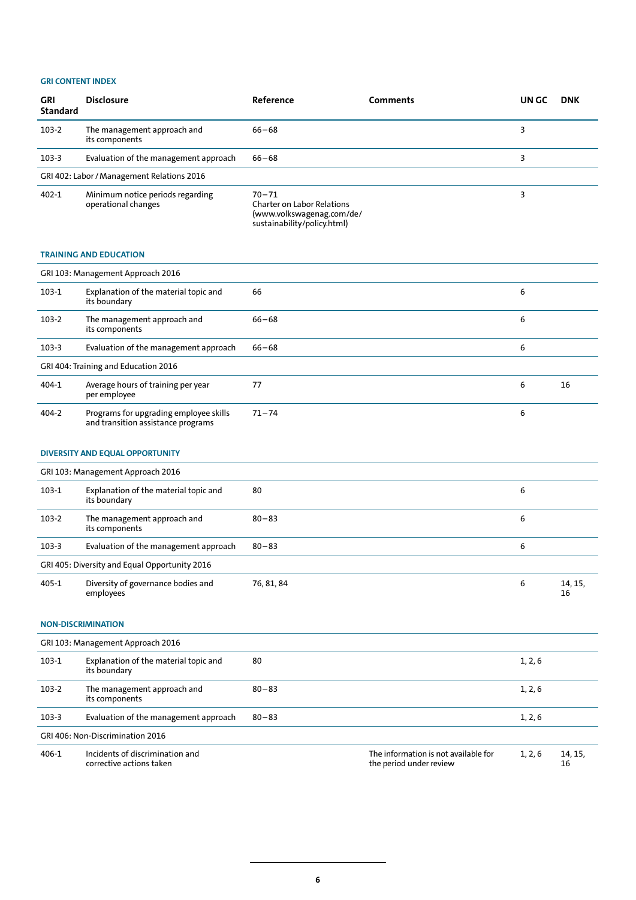| <b>GRI</b><br><b>Standard</b> | <b>Disclosure</b>                                       | Reference                                                                                                  | <b>Comments</b> | UN GC | <b>DNK</b> |  |
|-------------------------------|---------------------------------------------------------|------------------------------------------------------------------------------------------------------------|-----------------|-------|------------|--|
| 103-2                         | The management approach and<br>its components           | $66 - 68$                                                                                                  |                 | 3     |            |  |
| $103 - 3$                     | Evaluation of the management approach                   | $66 - 68$                                                                                                  |                 | 3     |            |  |
|                               | GRI 402: Labor / Management Relations 2016              |                                                                                                            |                 |       |            |  |
| 402-1                         | Minimum notice periods regarding<br>operational changes | $70 - 71$<br><b>Charter on Labor Relations</b><br>(www.volkswagenag.com/de/<br>sustainability/policy.html) |                 | 3     |            |  |
|                               | <b>TRAINING AND EDUCATION</b>                           |                                                                                                            |                 |       |            |  |
|                               | GRI 103: Management Approach 2016                       |                                                                                                            |                 |       |            |  |
| $103-1$                       | Explanation of the material topic and<br>its boundary   | 66                                                                                                         |                 | 6     |            |  |
| 103-2                         | The management approach and<br>its components           | $66 - 68$                                                                                                  |                 | 6     |            |  |

| $103 - 3$ | Evaluation of the management approach                                        | $66 - 68$ | ь |    |  |  |
|-----------|------------------------------------------------------------------------------|-----------|---|----|--|--|
|           | GRI 404: Training and Education 2016                                         |           |   |    |  |  |
| 404-1     | Average hours of training per year<br>per employee                           |           | 6 | 16 |  |  |
| 404-2     | Programs for upgrading employee skills<br>and transition assistance programs | $71 - 74$ | ь |    |  |  |

# **DIVERSITY AND EQUAL OPPORTUNITY**

| GRI 103: Management Approach 2016             |                                                       |            |   |               |  |  |
|-----------------------------------------------|-------------------------------------------------------|------------|---|---------------|--|--|
| $103-1$                                       | Explanation of the material topic and<br>its boundary | 80         | 6 |               |  |  |
| 103-2                                         | The management approach and<br>its components         | $80 - 83$  | 6 |               |  |  |
| $103-3$                                       | Evaluation of the management approach                 | $80 - 83$  | 6 |               |  |  |
| GRI 405: Diversity and Equal Opportunity 2016 |                                                       |            |   |               |  |  |
| 405-1                                         | Diversity of governance bodies and<br>employees       | 76, 81, 84 | 6 | 14, 15,<br>16 |  |  |

# **NON-DISCRIMINATION**

| GRI 103: Management Approach 2016 |                                                             |           |                                                                 |         |               |  |  |
|-----------------------------------|-------------------------------------------------------------|-----------|-----------------------------------------------------------------|---------|---------------|--|--|
| $103-1$                           | Explanation of the material topic and<br>its boundary       | 80        |                                                                 | 1, 2, 6 |               |  |  |
| 103-2                             | The management approach and<br>its components               | $80 - 83$ |                                                                 | 1, 2, 6 |               |  |  |
| $103-3$                           | Evaluation of the management approach                       | $80 - 83$ |                                                                 | 1, 2, 6 |               |  |  |
| GRI 406: Non-Discrimination 2016  |                                                             |           |                                                                 |         |               |  |  |
| 406-1                             | Incidents of discrimination and<br>corrective actions taken |           | The information is not available for<br>the period under review | 1, 2, 6 | 14, 15,<br>16 |  |  |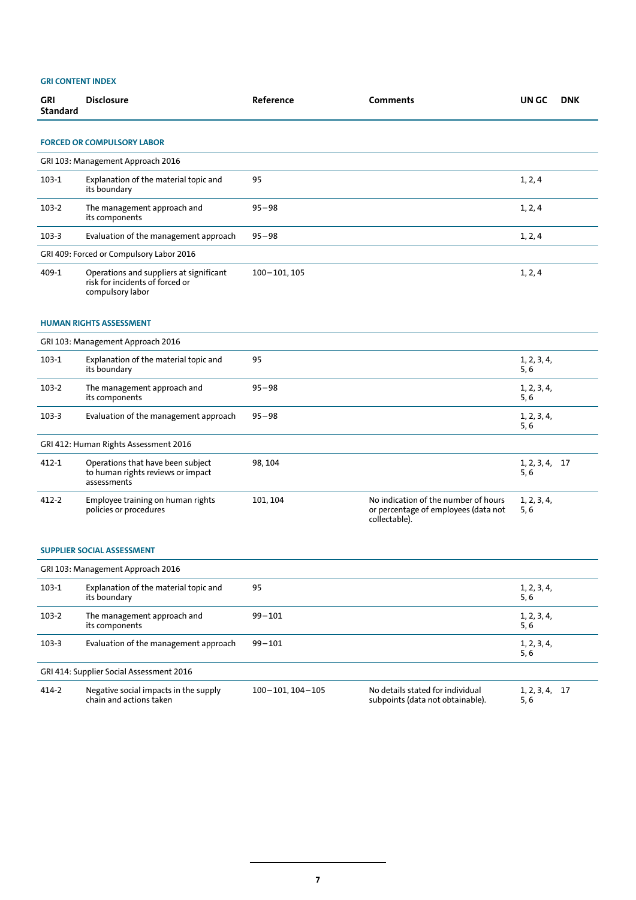| GRI<br>Standard                          | <b>Disclosure</b>                                                                              | Reference    | <b>Comments</b>                                                                               | UN GC                  | <b>DNK</b> |  |  |  |  |
|------------------------------------------|------------------------------------------------------------------------------------------------|--------------|-----------------------------------------------------------------------------------------------|------------------------|------------|--|--|--|--|
|                                          |                                                                                                |              |                                                                                               |                        |            |  |  |  |  |
|                                          | <b>FORCED OR COMPULSORY LABOR</b>                                                              |              |                                                                                               |                        |            |  |  |  |  |
|                                          | GRI 103: Management Approach 2016                                                              |              |                                                                                               |                        |            |  |  |  |  |
| 103-1                                    | Explanation of the material topic and<br>its boundary                                          | 95           |                                                                                               | 1, 2, 4                |            |  |  |  |  |
| 103-2                                    | The management approach and<br>its components                                                  | $95 - 98$    |                                                                                               | 1, 2, 4                |            |  |  |  |  |
| $103 - 3$                                | Evaluation of the management approach                                                          | $95 - 98$    |                                                                                               | 1, 2, 4                |            |  |  |  |  |
| GRI 409: Forced or Compulsory Labor 2016 |                                                                                                |              |                                                                                               |                        |            |  |  |  |  |
| 409-1                                    | Operations and suppliers at significant<br>risk for incidents of forced or<br>compulsory labor | 100-101, 105 |                                                                                               | 1, 2, 4                |            |  |  |  |  |
|                                          | <b>HUMAN RIGHTS ASSESSMENT</b>                                                                 |              |                                                                                               |                        |            |  |  |  |  |
|                                          | GRI 103: Management Approach 2016                                                              |              |                                                                                               |                        |            |  |  |  |  |
| 103-1                                    | Explanation of the material topic and<br>its boundary                                          | 95           |                                                                                               | 1, 2, 3, 4,<br>5,6     |            |  |  |  |  |
| 103-2                                    | The management approach and<br>its components                                                  | $95 - 98$    |                                                                                               | 1, 2, 3, 4,<br>5, 6    |            |  |  |  |  |
| 103-3                                    | Evaluation of the management approach                                                          | $95 - 98$    |                                                                                               | 1, 2, 3, 4,<br>5, 6    |            |  |  |  |  |
|                                          | GRI 412: Human Rights Assessment 2016                                                          |              |                                                                                               |                        |            |  |  |  |  |
| 412-1                                    | Operations that have been subject<br>to human rights reviews or impact<br>assessments          | 98, 104      |                                                                                               | 1, 2, 3, 4, 17<br>5, 6 |            |  |  |  |  |
| 412-2                                    | Employee training on human rights<br>policies or procedures                                    | 101, 104     | No indication of the number of hours<br>or percentage of employees (data not<br>collectable). | 1, 2, 3, 4,<br>5, 6    |            |  |  |  |  |
| <b>SUPPLIER SOCIAL ASSESSMENT</b>        |                                                                                                |              |                                                                                               |                        |            |  |  |  |  |
| GRI 103: Management Annroach 2016        |                                                                                                |              |                                                                                               |                        |            |  |  |  |  |

| GRI 103: Management Approach 2016 |                                                                  |                       |                                                                      |                        |  |  |  |
|-----------------------------------|------------------------------------------------------------------|-----------------------|----------------------------------------------------------------------|------------------------|--|--|--|
| 103-1                             | Explanation of the material topic and<br>its boundary            | 95                    |                                                                      | 1, 2, 3, 4,<br>5,6     |  |  |  |
| $103-2$                           | The management approach and<br>its components                    | $99 - 101$            |                                                                      | 1, 2, 3, 4,<br>5, 6    |  |  |  |
| $103-3$                           | Evaluation of the management approach                            | $99 - 101$            |                                                                      | 1, 2, 3, 4,<br>5, 6    |  |  |  |
|                                   | GRI 414: Supplier Social Assessment 2016                         |                       |                                                                      |                        |  |  |  |
| 414-2                             | Negative social impacts in the supply<br>chain and actions taken | $100 - 101.104 - 105$ | No details stated for individual<br>subpoints (data not obtainable). | 1, 2, 3, 4, 17<br>5, 6 |  |  |  |